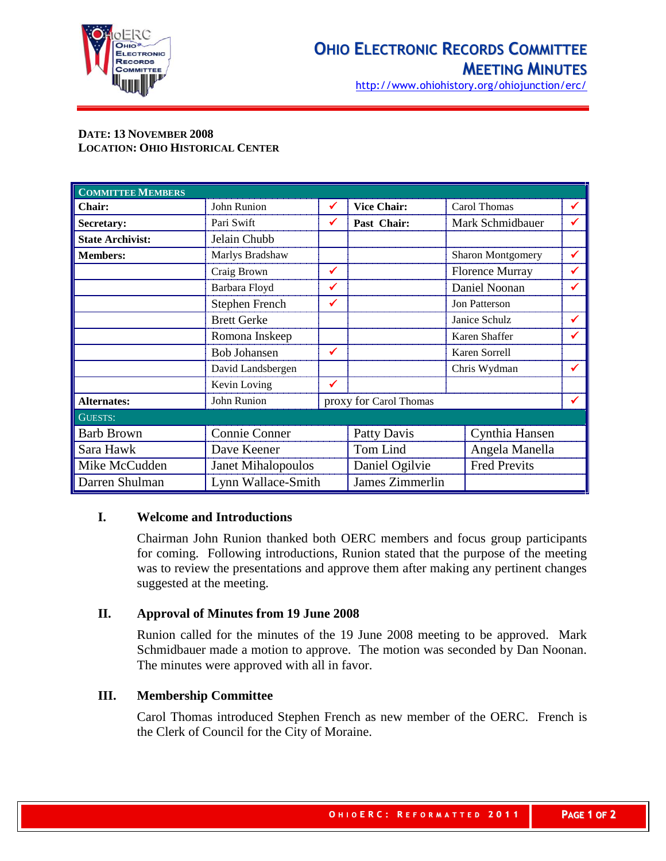

http://www.ohiohistory.org/ohiojunction/erc/

# **DATE: 13 NOVEMBER 2008 LOCATION: OHIO HISTORICAL CENTER**

| <b>COMMITTEE MEMBERS</b> |                           |   |                        |               |                        |   |
|--------------------------|---------------------------|---|------------------------|---------------|------------------------|---|
| <b>Chair:</b>            | John Runion               | ✓ | <b>Vice Chair:</b>     |               | Carol Thomas           | ✔ |
| Secretary:               | Pari Swift                | ✔ | Past Chair:            |               | Mark Schmidbauer       |   |
| <b>State Archivist:</b>  | Jelain Chubb              |   |                        |               |                        |   |
| <b>Members:</b>          | Marlys Bradshaw           |   |                        |               | Sharon Montgomery      |   |
|                          | Craig Brown               | ✓ |                        |               | <b>Florence Murray</b> |   |
|                          | Barbara Floyd             | ✔ |                        |               | Daniel Noonan          |   |
|                          | Stephen French            | ✔ |                        | Jon Patterson |                        |   |
|                          | <b>Brett Gerke</b>        |   |                        |               | Janice Schulz          |   |
|                          | Romona Inskeep            |   |                        |               | Karen Shaffer          |   |
|                          | <b>Bob Johansen</b>       | ✓ |                        |               | Karen Sorrell          |   |
|                          | David Landsbergen         |   |                        |               | Chris Wydman           |   |
|                          | Kevin Loving              | ✔ |                        |               |                        |   |
| <b>Alternates:</b>       | John Runion               |   | proxy for Carol Thomas |               |                        |   |
| <b>GUESTS:</b>           |                           |   |                        |               |                        |   |
| <b>Barb Brown</b>        | Connie Conner             |   | <b>Patty Davis</b>     |               | Cynthia Hansen         |   |
| Sara Hawk                | Dave Keener               |   | Tom Lind               |               | Angela Manella         |   |
| Mike McCudden            | <b>Janet Mihalopoulos</b> |   | Daniel Ogilvie         |               | <b>Fred Previts</b>    |   |
| Darren Shulman           | Lynn Wallace-Smith        |   | James Zimmerlin        |               |                        |   |

## **I. Welcome and Introductions**

Chairman John Runion thanked both OERC members and focus group participants for coming. Following introductions, Runion stated that the purpose of the meeting was to review the presentations and approve them after making any pertinent changes suggested at the meeting.

### **II. Approval of Minutes from 19 June 2008**

Runion called for the minutes of the 19 June 2008 meeting to be approved. Mark Schmidbauer made a motion to approve. The motion was seconded by Dan Noonan. The minutes were approved with all in favor.

# **III. Membership Committee**

Carol Thomas introduced Stephen French as new member of the OERC. French is the Clerk of Council for the City of Moraine.